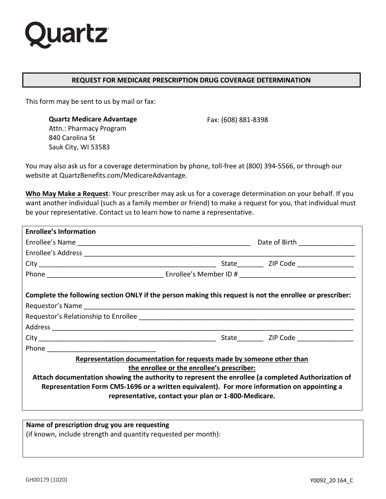

#### **REQUEST FOR MEDICARE PRESCRIPTION DRUG COVERAGE DETERMINATION**

This form may be sent to us by mail or fax:

**Quartz Medicare Advantage** Fax: (608) 881-8398 Attn.: Pharmacy Program 840 Carolina St Sauk City, WI 53583

You may also ask us for a coverage determination by phone, toll-free at (800) 394-5566, or through our website at QuartzBenefits.com/MedicareAdvantage.

**Who May Make a Request**: Your prescriber may ask us for a coverage determination on your behalf. If you want another individual (such as a family member or friend) to make a request for you, that individual must be your representative. Contact us to learn how to name a representative.

| <b>Enrollee's Information</b>                                                                            |  |  |  |
|----------------------------------------------------------------------------------------------------------|--|--|--|
|                                                                                                          |  |  |  |
|                                                                                                          |  |  |  |
|                                                                                                          |  |  |  |
|                                                                                                          |  |  |  |
| Complete the following section ONLY if the person making this request is not the enrollee or prescriber: |  |  |  |
|                                                                                                          |  |  |  |
|                                                                                                          |  |  |  |
|                                                                                                          |  |  |  |
|                                                                                                          |  |  |  |
| Representation documentation for requests made by someone other than                                     |  |  |  |
| the enrollee or the enrollee's prescriber:                                                               |  |  |  |
| Attach documentation showing the authority to represent the enrollee (a completed Authorization of       |  |  |  |
| Representation Form CMS-1696 or a written equivalent). For more information on appointing a              |  |  |  |
| representative, contact your plan or 1-800-Medicare.                                                     |  |  |  |
|                                                                                                          |  |  |  |

## **Name of prescription drug you are requesting**

(if known, include strength and quantity requested per month):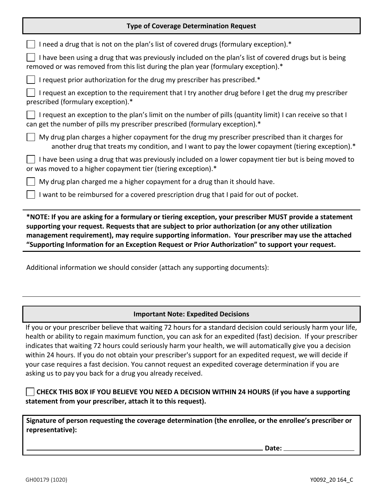## **Type of Coverage Determination Request**

| *NOTE: If you are asking for a formulary or tiering exception, your prescriber MUST provide a statement<br>cunnorting your request. Requests that are subject to prior authorization (or any other utilization |  |  |
|----------------------------------------------------------------------------------------------------------------------------------------------------------------------------------------------------------------|--|--|
| I want to be reimbursed for a covered prescription drug that I paid for out of pocket.                                                                                                                         |  |  |
| My drug plan charged me a higher copayment for a drug than it should have.                                                                                                                                     |  |  |
| I have been using a drug that was previously included on a lower copayment tier but is being moved to<br>or was moved to a higher copayment tier (tiering exception).*                                         |  |  |
| My drug plan charges a higher copayment for the drug my prescriber prescribed than it charges for<br>another drug that treats my condition, and I want to pay the lower copayment (tiering exception).*        |  |  |
| I request an exception to the plan's limit on the number of pills (quantity limit) I can receive so that I<br>can get the number of pills my prescriber prescribed (formulary exception).*                     |  |  |
| I request an exception to the requirement that I try another drug before I get the drug my prescriber<br>prescribed (formulary exception).*                                                                    |  |  |
| I request prior authorization for the drug my prescriber has prescribed.*<br>$\Box$                                                                                                                            |  |  |
| I have been using a drug that was previously included on the plan's list of covered drugs but is being<br>removed or was removed from this list during the plan year (formulary exception).*                   |  |  |
| I need a drug that is not on the plan's list of covered drugs (formulary exception).*                                                                                                                          |  |  |
|                                                                                                                                                                                                                |  |  |

**supporting your request. Requests that are subject to prior authorization (or any other utilization management requirement), may require supporting information. Your prescriber may use the attached "Supporting Information for an Exception Request or Prior Authorization" to support your request.**

Additional information we should consider (attach any supporting documents):

# **Important Note: Expedited Decisions**

If you or your prescriber believe that waiting 72 hours for a standard decision could seriously harm your life, health or ability to regain maximum function, you can ask for an expedited (fast) decision. If your prescriber indicates that waiting 72 hours could seriously harm your health, we will automatically give you a decision within 24 hours. If you do not obtain your prescriber's support for an expedited request, we will decide if your case requires a fast decision. You cannot request an expedited coverage determination if you are asking us to pay you back for a drug you already received.

**CHECK THIS BOX IF YOU BELIEVE YOU NEED A DECISION WITHIN 24 HOURS (if you have a supporting statement from your prescriber, attach it to this request).**

**Signature of person requesting the coverage determination (the enrollee, or the enrollee's prescriber or representative):** 

**Date:**